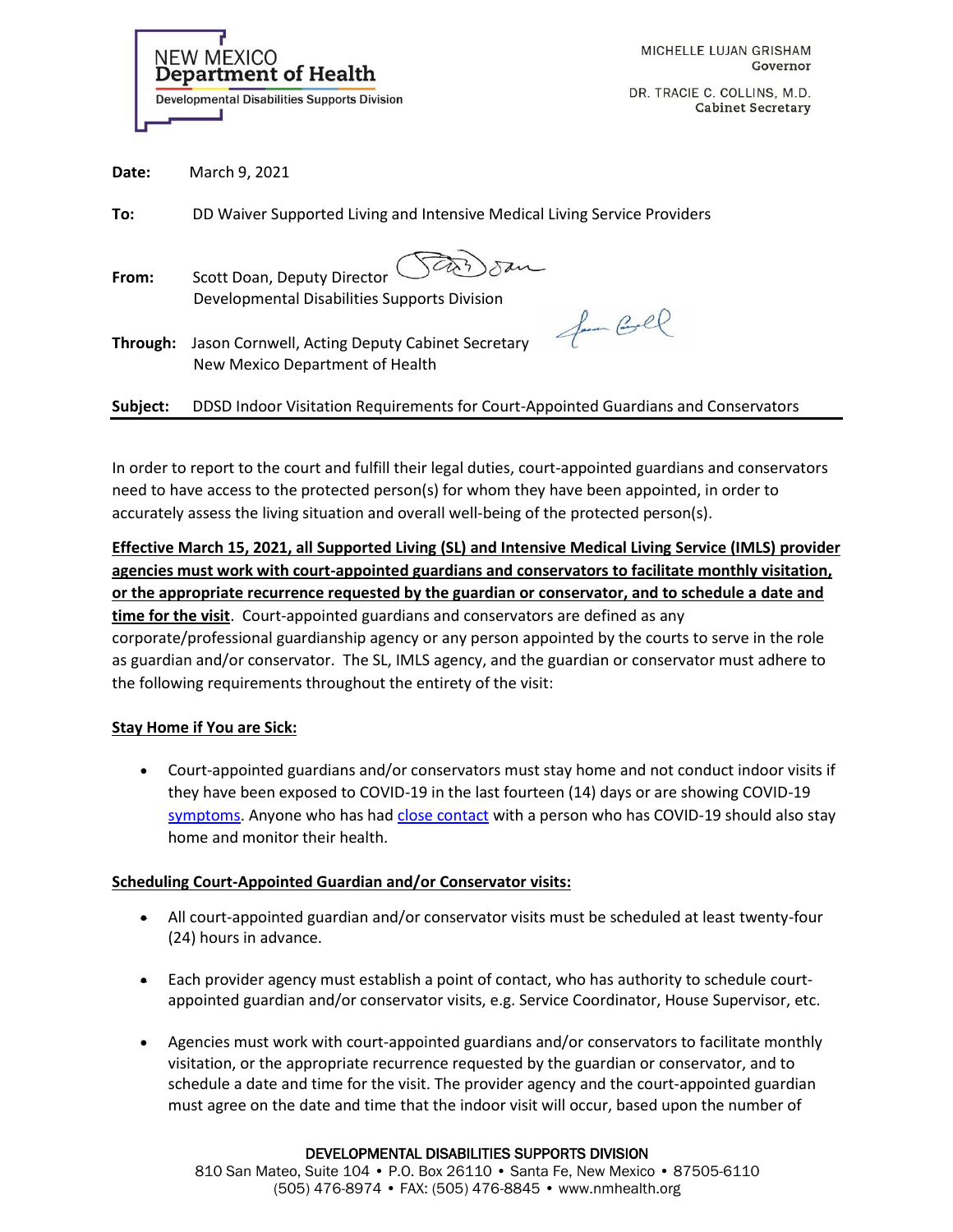| <b>NEW MEXICO</b><br><b>Department of Health</b>    |
|-----------------------------------------------------|
| <b>Developmental Disabilities Supports Division</b> |

DR. TRACIE C. COLLINS, M.D. **Cabinet Secretary** 

| Date: | March 9, 2021 |  |
|-------|---------------|--|
|-------|---------------|--|

**To:** DD Waiver Supported Living and Intensive Medical Living Service Providers

- **From:** Scott Doan, Deputy Director Developmental Disabilities Supports Division
- **Through:** Jason Cornwell, Acting Deputy Cabinet Secretary New Mexico Department of Health

for Coll

**Subject:** DDSD Indoor Visitation Requirements for Court-Appointed Guardians and Conservators

In order to report to the court and fulfill their legal duties, court-appointed guardians and conservators need to have access to the protected person(s) for whom they have been appointed, in order to accurately assess the living situation and overall well-being of the protected person(s).

**Effective March 15, 2021, all Supported Living (SL) and Intensive Medical Living Service (IMLS) provider agencies must work with court-appointed guardians and conservators to facilitate monthly visitation, or the appropriate recurrence requested by the guardian or conservator, and to schedule a date and time for the visit**. Court-appointed guardians and conservators are defined as any corporate/professional guardianship agency or any person appointed by the courts to serve in the role as guardian and/or conservator. The SL, IMLS agency, and the guardian or conservator must adhere to the following requirements throughout the entirety of the visit:

### **Stay Home if You are Sick:**

• Court-appointed guardians and/or conservators must stay home and not conduct indoor visits if they have been exposed to COVID-19 in the last fourteen (14) days or are showing COVID-19 [symptoms.](https://www.cdc.gov/coronavirus/2019-ncov/symptoms-testing/symptoms.html) Anyone who has ha[d close contact](https://www.cdc.gov/coronavirus/2019-ncov/php/public-health-recommendations.html) with a person who has COVID-19 should also stay home and monitor their health.

# **Scheduling Court-Appointed Guardian and/or Conservator visits:**

- All court-appointed guardian and/or conservator visits must be scheduled at least twenty-four (24) hours in advance.
- Each provider agency must establish a point of contact, who has authority to schedule courtappointed guardian and/or conservator visits, e.g. Service Coordinator, House Supervisor, etc.
- Agencies must work with court-appointed guardians and/or conservators to facilitate monthly visitation, or the appropriate recurrence requested by the guardian or conservator, and to schedule a date and time for the visit. The provider agency and the court-appointed guardian must agree on the date and time that the indoor visit will occur, based upon the number of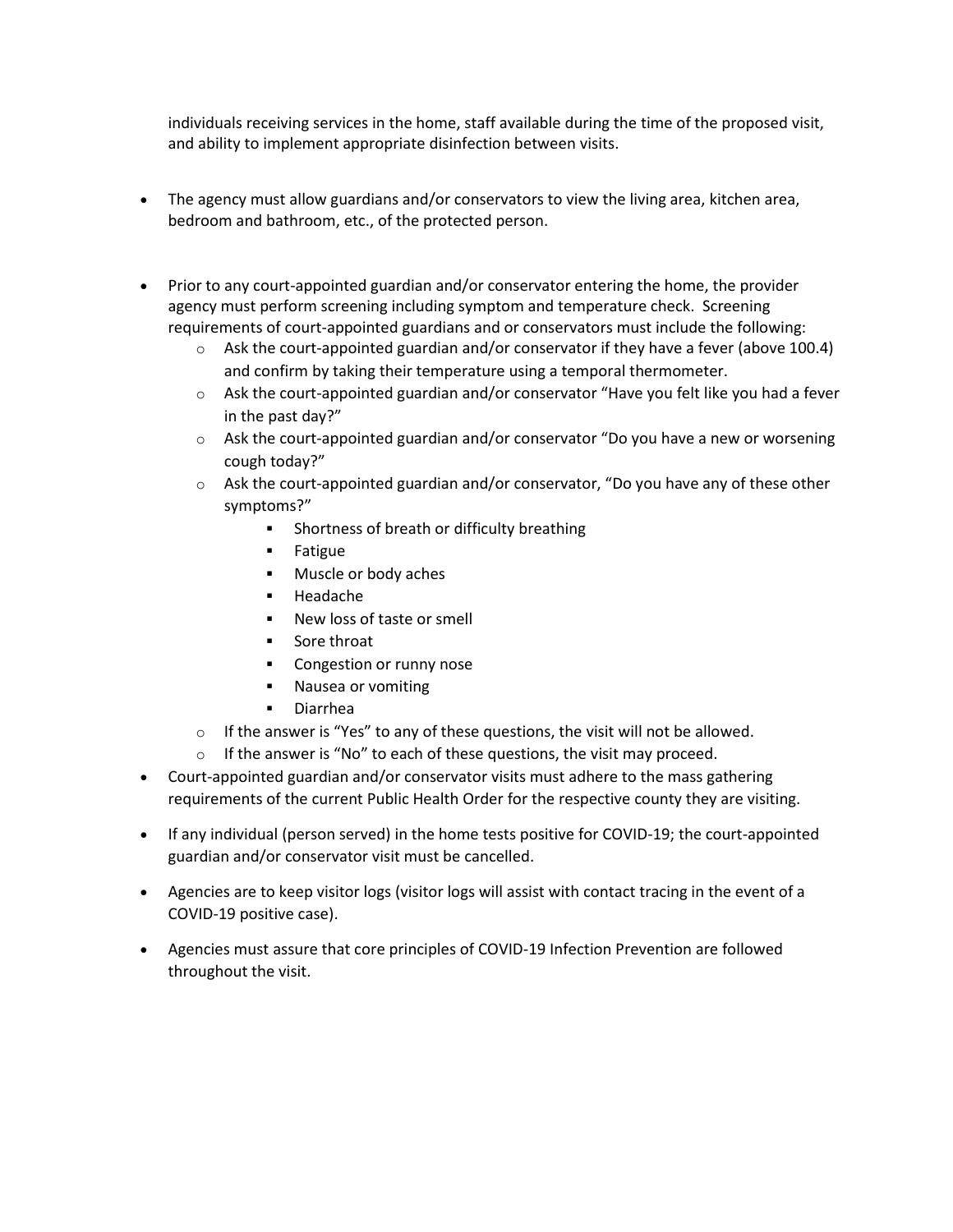individuals receiving services in the home, staff available during the time of the proposed visit, and ability to implement appropriate disinfection between visits.

- The agency must allow guardians and/or conservators to view the living area, kitchen area, bedroom and bathroom, etc., of the protected person.
- Prior to any court-appointed guardian and/or conservator entering the home, the provider agency must perform screening including symptom and temperature check. Screening requirements of court-appointed guardians and or conservators must include the following:
	- $\circ$  Ask the court-appointed guardian and/or conservator if they have a fever (above 100.4) and confirm by taking their temperature using a temporal thermometer.
	- $\circ$  Ask the court-appointed guardian and/or conservator "Have you felt like you had a fever in the past day?"
	- $\circ$  Ask the court-appointed guardian and/or conservator "Do you have a new or worsening cough today?"
	- $\circ$  Ask the court-appointed guardian and/or conservator, "Do you have any of these other symptoms?"
		- **EXEDENT Shortness of breath or difficulty breathing**
		- Fatigue
		- Muscle or body aches
		- Headache
		- New loss of taste or smell
		- Sore throat
		- Congestion or runny nose
		- Nausea or vomiting
		- Diarrhea
	- o If the answer is "Yes" to any of these questions, the visit will not be allowed.
	- $\circ$  If the answer is "No" to each of these questions, the visit may proceed.
- Court-appointed guardian and/or conservator visits must adhere to the mass gathering requirements of the current Public Health Order for the respective county they are visiting.
- If any individual (person served) in the home tests positive for COVID-19; the court-appointed guardian and/or conservator visit must be cancelled.
- Agencies are to keep visitor logs (visitor logs will assist with contact tracing in the event of a COVID-19 positive case).
- Agencies must assure that core principles of COVID-19 Infection Prevention are followed throughout the visit.